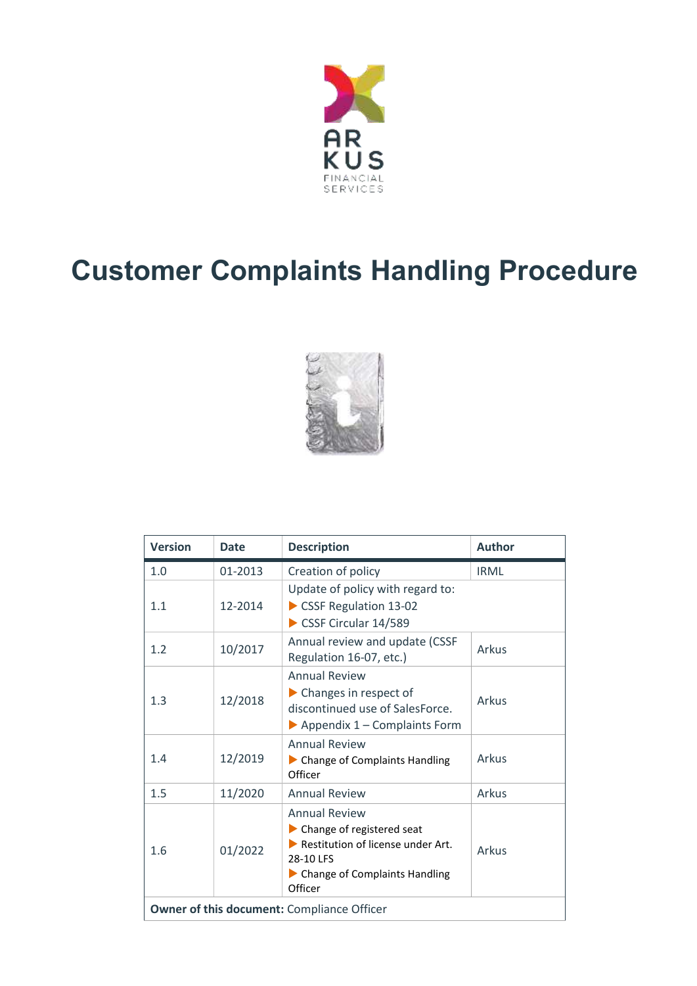

# **Customer Complaints Handling Procedure**



| <b>Version</b>                                    | <b>Date</b> | <b>Description</b>                                                                                                                                      | <b>Author</b> |
|---------------------------------------------------|-------------|---------------------------------------------------------------------------------------------------------------------------------------------------------|---------------|
| 1.0                                               | 01-2013     | Creation of policy                                                                                                                                      | <b>IRML</b>   |
| 1.1                                               | 12-2014     | Update of policy with regard to:<br>CSSF Regulation 13-02<br>CSSF Circular 14/589                                                                       |               |
| 1.2                                               | 10/2017     | Annual review and update (CSSF<br>Regulation 16-07, etc.)                                                                                               | Arkus         |
| 1.3                                               | 12/2018     | <b>Annual Review</b><br>$\blacktriangleright$ Changes in respect of<br>discontinued use of SalesForce.<br>$\triangleright$ Appendix 1 – Complaints Form | Arkus         |
| 1.4                                               | 12/2019     | <b>Annual Review</b><br>• Change of Complaints Handling<br>Officer                                                                                      | Arkus         |
| 1.5                                               | 11/2020     | <b>Annual Review</b>                                                                                                                                    | Arkus         |
| 1.6                                               | 01/2022     | <b>Annual Review</b><br>Change of registered seat<br>Restitution of license under Art.<br>28-10 LES<br>Change of Complaints Handling<br>Officer         | Arkus         |
| <b>Owner of this document: Compliance Officer</b> |             |                                                                                                                                                         |               |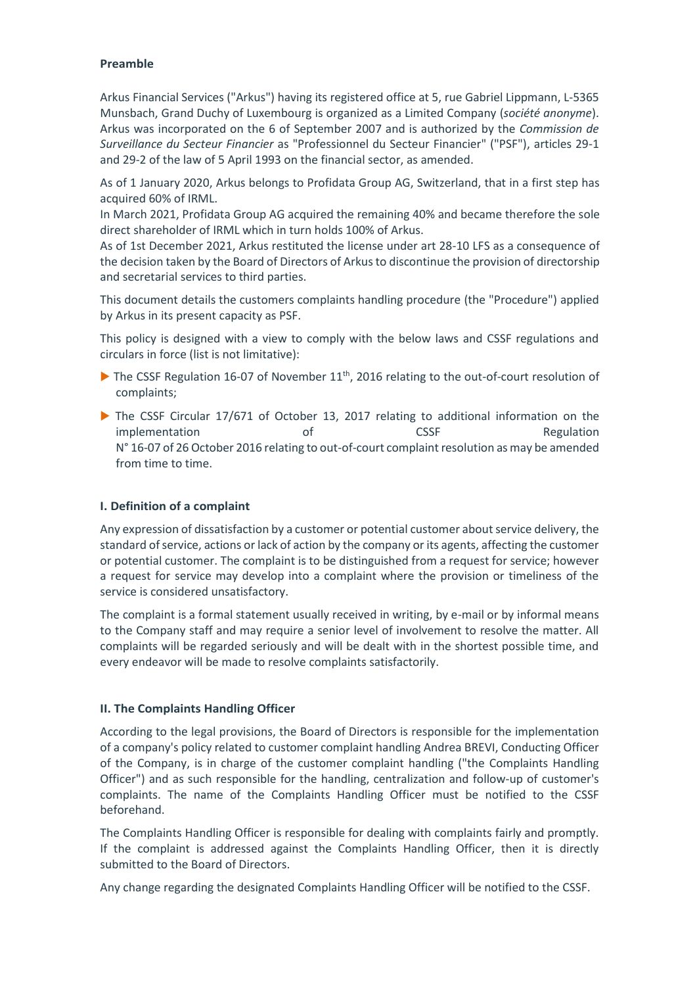## **Preamble**

Arkus Financial Services ("Arkus") having its registered office at 5, rue Gabriel Lippmann, L-5365 Munsbach, Grand Duchy of Luxembourg is organized as a Limited Company (*société anonyme*). Arkus was incorporated on the 6 of September 2007 and is authorized by the *Commission de Surveillance du Secteur Financier* as "Professionnel du Secteur Financier" ("PSF"), articles 29-1 and 29-2 of the law of 5 April 1993 on the financial sector, as amended.

As of 1 January 2020, Arkus belongs to Profidata Group AG, Switzerland, that in a first step has acquired 60% of IRML.

In March 2021, Profidata Group AG acquired the remaining 40% and became therefore the sole direct shareholder of IRML which in turn holds 100% of Arkus.

As of 1st December 2021, Arkus restituted the license under art 28-10 LFS as a consequence of the decision taken by the Board of Directors of Arkus to discontinue the provision of directorship and secretarial services to third parties.

This document details the customers complaints handling procedure (the "Procedure") applied by Arkus in its present capacity as PSF.

This policy is designed with a view to comply with the below laws and CSSF regulations and circulars in force (list is not limitative):

- $\blacktriangleright$  The CSSF Regulation 16-07 of November 11<sup>th</sup>, 2016 relating to the out-of-court resolution of complaints;
- The CSSF Circular 17/671 of October 13, 2017 relating to additional information on the implementation of of CSSF Regulation N° 16-07 of 26 October 2016 relating to out-of-court complaint resolution as may be amended from time to time.

## **I. Definition of a complaint**

Any expression of dissatisfaction by a customer or potential customer about service delivery, the standard of service, actions or lack of action by the company or its agents, affecting the customer or potential customer. The complaint is to be distinguished from a request for service; however a request for service may develop into a complaint where the provision or timeliness of the service is considered unsatisfactory.

The complaint is a formal statement usually received in writing, by e-mail or by informal means to the Company staff and may require a senior level of involvement to resolve the matter. All complaints will be regarded seriously and will be dealt with in the shortest possible time, and every endeavor will be made to resolve complaints satisfactorily.

## **II. The Complaints Handling Officer**

According to the legal provisions, the Board of Directors is responsible for the implementation of a company's policy related to customer complaint handling Andrea BREVI, Conducting Officer of the Company, is in charge of the customer complaint handling ("the Complaints Handling Officer") and as such responsible for the handling, centralization and follow-up of customer's complaints. The name of the Complaints Handling Officer must be notified to the CSSF beforehand.

The Complaints Handling Officer is responsible for dealing with complaints fairly and promptly. If the complaint is addressed against the Complaints Handling Officer, then it is directly submitted to the Board of Directors.

Any change regarding the designated Complaints Handling Officer will be notified to the CSSF.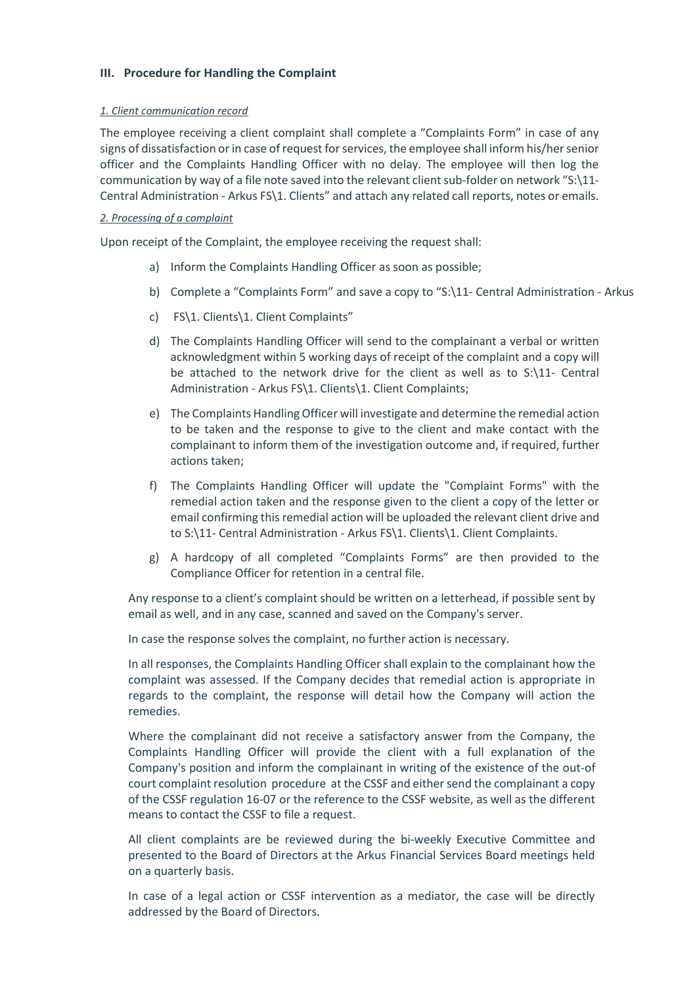## **III. Procedure for Handling the Complaint**

#### *1. Client communication record*

The employee receiving a client complaint shall complete a "Complaints Form" in case of any signs of dissatisfaction or in case of request for services, the employee shall inform his/her senior officer and the Complaints Handling Officer with no delay. The employee will then log the communication by way of a file note saved into the relevant client sub-folder on network "S:\11- Central Administration - Arkus FS\1. Clients" and attach any related call reports, notes or emails.

#### *2. Processing of a complaint*

Upon receipt of the Complaint, the employee receiving the request shall:

- a) Inform the Complaints Handling Officer as soon as possible;
- b) Complete a "Complaints Form" and save a copy to "S:\11- Central Administration Arkus
- c) FS\1. Clients\1. Client Complaints"
- d) The Complaints Handling Officer will send to the complainant a verbal or written acknowledgment within 5 working days of receipt of the complaint and a copy will be attached to the network drive for the client as well as to S:\11- Central Administration - Arkus FS\1. Clients\1. Client Complaints;
- e) The Complaints Handling Officer will investigate and determine the remedial action to be taken and the response to give to the client and make contact with the complainant to inform them of the investigation outcome and, if required, further actions taken;
- f) The Complaints Handling Officer will update the "Complaint Forms" with the remedial action taken and the response given to the client a copy of the letter or email confirming this remedial action will be uploaded the relevant client drive and to S:\11- Central Administration - Arkus FS\1. Clients\1. Client Complaints.
- g) A hardcopy of all completed "Complaints Forms" are then provided to the Compliance Officer for retention in a central file.

Any response to a client's complaint should be written on a letterhead, if possible sent by email as well, and in any case, scanned and saved on the Company's server.

In case the response solves the complaint, no further action is necessary.

In all responses, the Complaints Handling Officer shall explain to the complainant how the complaint was assessed. If the Company decides that remedial action is appropriate in regards to the complaint, the response will detail how the Company will action the remedies.

Where the complainant did not receive a satisfactory answer from the Company, the Complaints Handling Officer will provide the client with a full explanation of the Company's position and inform the complainant in writing of the existence of the out-of court complaint resolution procedure at the CSSF and either send the complainant a copy of the CSSF regulation 16-07 or the reference to the CSSF website, as well as the different means to contact the CSSF to file a request.

All client complaints are be reviewed during the bi-weekly Executive Committee and presented to the Board of Directors at the Arkus Financial Services Board meetings held on a quarterly basis.

In case of a legal action or CSSF intervention as a mediator, the case will be directly addressed by the Board of Directors.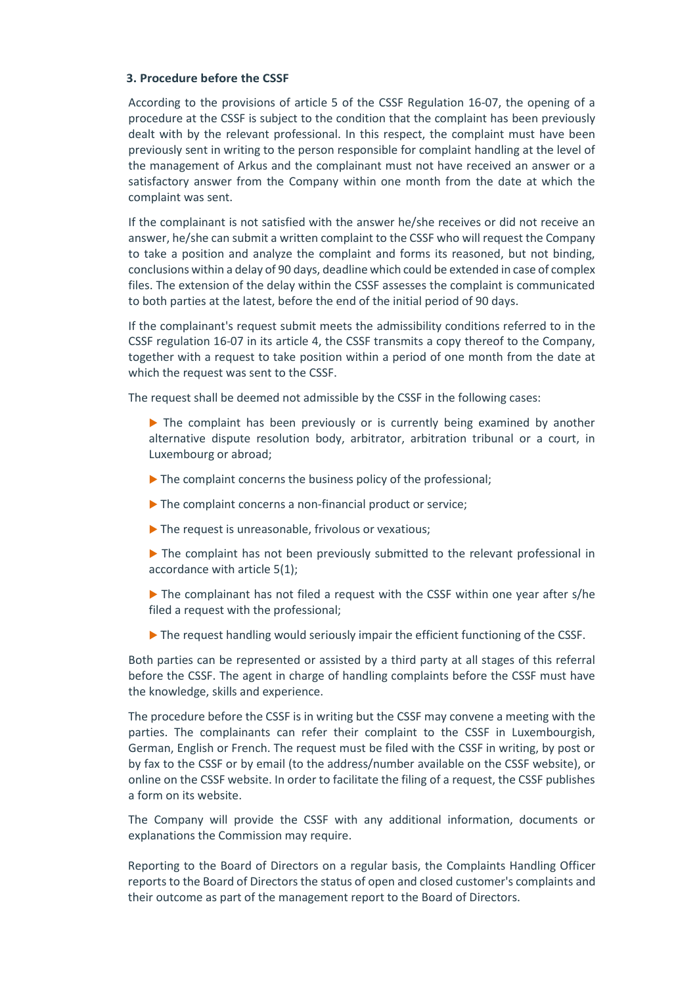#### **3. Procedure before the CSSF**

According to the provisions of article 5 of the CSSF Regulation 16-07, the opening of a procedure at the CSSF is subject to the condition that the complaint has been previously dealt with by the relevant professional. In this respect, the complaint must have been previously sent in writing to the person responsible for complaint handling at the level of the management of Arkus and the complainant must not have received an answer or a satisfactory answer from the Company within one month from the date at which the complaint was sent.

If the complainant is not satisfied with the answer he/she receives or did not receive an answer, he/she can submit a written complaint to the CSSF who will request the Company to take a position and analyze the complaint and forms its reasoned, but not binding, conclusions within a delay of 90 days, deadline which could be extended in case of complex files. The extension of the delay within the CSSF assesses the complaint is communicated to both parties at the latest, before the end of the initial period of 90 days.

If the complainant's request submit meets the admissibility conditions referred to in the CSSF regulation 16-07 in its article 4, the CSSF transmits a copy thereof to the Company, together with a request to take position within a period of one month from the date at which the request was sent to the CSSF.

The request shall be deemed not admissible by the CSSF in the following cases:

- The complaint has been previously or is currently being examined by another alternative dispute resolution body, arbitrator, arbitration tribunal or a court, in Luxembourg or abroad;
- $\blacktriangleright$  The complaint concerns the business policy of the professional;
- The complaint concerns a non-financial product or service;
- The request is unreasonable, frivolous or vexatious;
- The complaint has not been previously submitted to the relevant professional in accordance with article 5(1);
- The complainant has not filed a request with the CSSF within one year after s/he filed a request with the professional;
- The request handling would seriously impair the efficient functioning of the CSSF.

Both parties can be represented or assisted by a third party at all stages of this referral before the CSSF. The agent in charge of handling complaints before the CSSF must have the knowledge, skills and experience.

The procedure before the CSSF is in writing but the CSSF may convene a meeting with the parties. The complainants can refer their complaint to the CSSF in Luxembourgish, German, English or French. The request must be filed with the CSSF in writing, by post or by fax to the CSSF or by email (to the address/number available on the CSSF website), or online on the CSSF website. In order to facilitate the filing of a request, the CSSF publishes a form on its website.

The Company will provide the CSSF with any additional information, documents or explanations the Commission may require.

Reporting to the Board of Directors on a regular basis, the Complaints Handling Officer reports to the Board of Directors the status of open and closed customer's complaints and their outcome as part of the management report to the Board of Directors.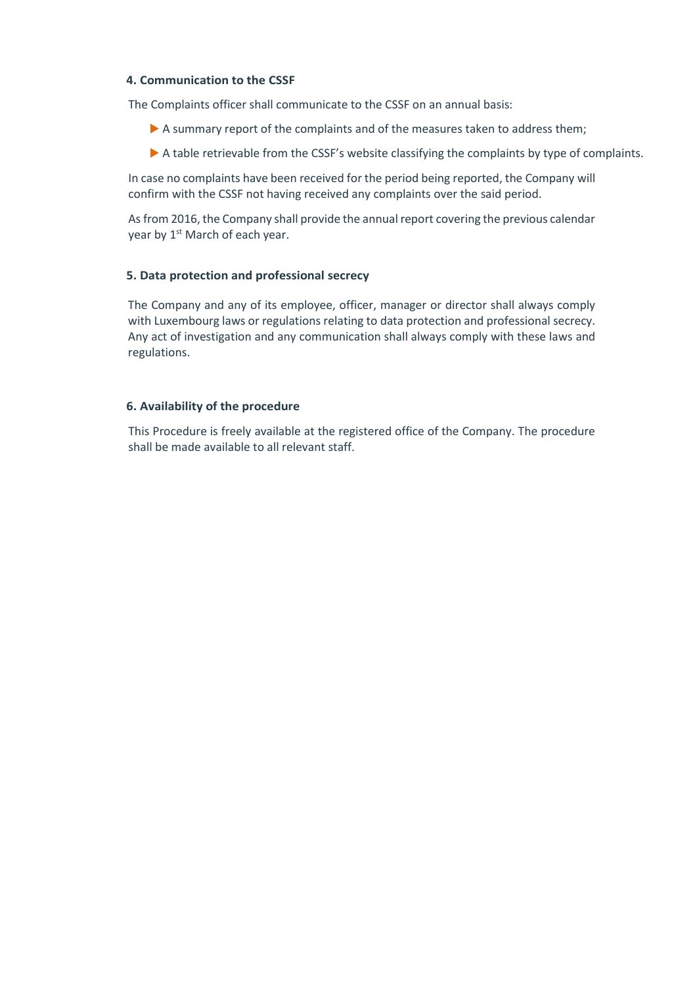## **4. Communication to the CSSF**

The Complaints officer shall communicate to the CSSF on an annual basis:

- A summary report of the complaints and of the measures taken to address them;
- A table retrievable from the CSSF's website classifying the complaints by type of complaints.

In case no complaints have been received for the period being reported, the Company will confirm with the CSSF not having received any complaints over the said period.

As from 2016, the Company shall provide the annual report covering the previous calendar year by 1<sup>st</sup> March of each year.

## **5. Data protection and professional secrecy**

The Company and any of its employee, officer, manager or director shall always comply with Luxembourg laws or regulations relating to data protection and professional secrecy. Any act of investigation and any communication shall always comply with these laws and regulations.

## **6. Availability of the procedure**

This Procedure is freely available at the registered office of the Company. The procedure shall be made available to all relevant staff.